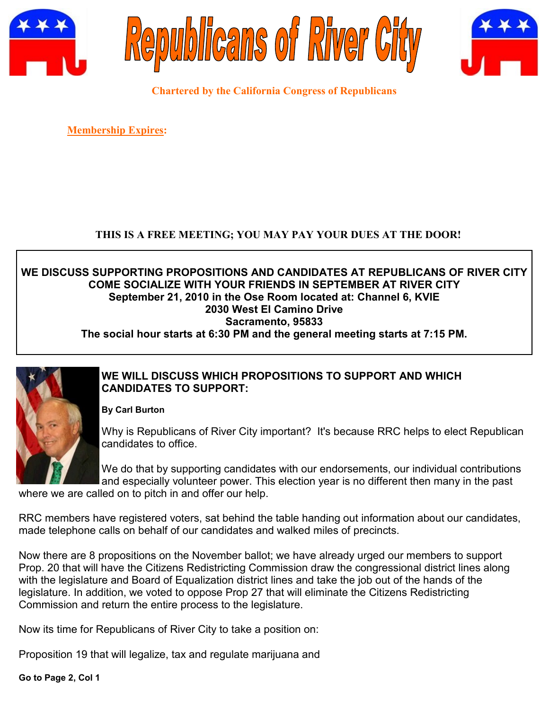





**Chartered by the California Congress of Republicans**

**Membership Expires:** 

# **THIS IS A FREE MEETING; YOU MAY PAY YOUR DUES AT THE DOOR!**

#### **WE DISCUSS SUPPORTING PROPOSITIONS AND CANDIDATES AT REPUBLICANS OF RIVER CITY COME SOCIALIZE WITH YOUR FRIENDS IN SEPTEMBER AT RIVER CITY September 21, 2010 in the Ose Room located at: Channel 6, KVIE 2030 West El Camino Drive Sacramento, 95833 The social hour starts at 6:30 PM and the general meeting starts at 7:15 PM.**



## **WE WILL DISCUSS WHICH PROPOSITIONS TO SUPPORT AND WHICH CANDIDATES TO SUPPORT:**

**By Carl Burton**

Why is Republicans of River City important? It's because RRC helps to elect Republican candidates to office.

We do that by supporting candidates with our endorsements, our individual contributions and especially volunteer power. This election year is no different then many in the past

where we are called on to pitch in and offer our help.

RRC members have registered voters, sat behind the table handing out information about our candidates, made telephone calls on behalf of our candidates and walked miles of precincts.

Now there are 8 propositions on the November ballot; we have already urged our members to support Prop. 20 that will have the Citizens Redistricting Commission draw the congressional district lines along with the legislature and Board of Equalization district lines and take the job out of the hands of the legislature. In addition, we voted to oppose Prop 27 that will eliminate the Citizens Redistricting Commission and return the entire process to the legislature.

Now its time for Republicans of River City to take a position on:

Proposition 19 that will legalize, tax and regulate marijuana and

**Go to Page 2, Col 1**